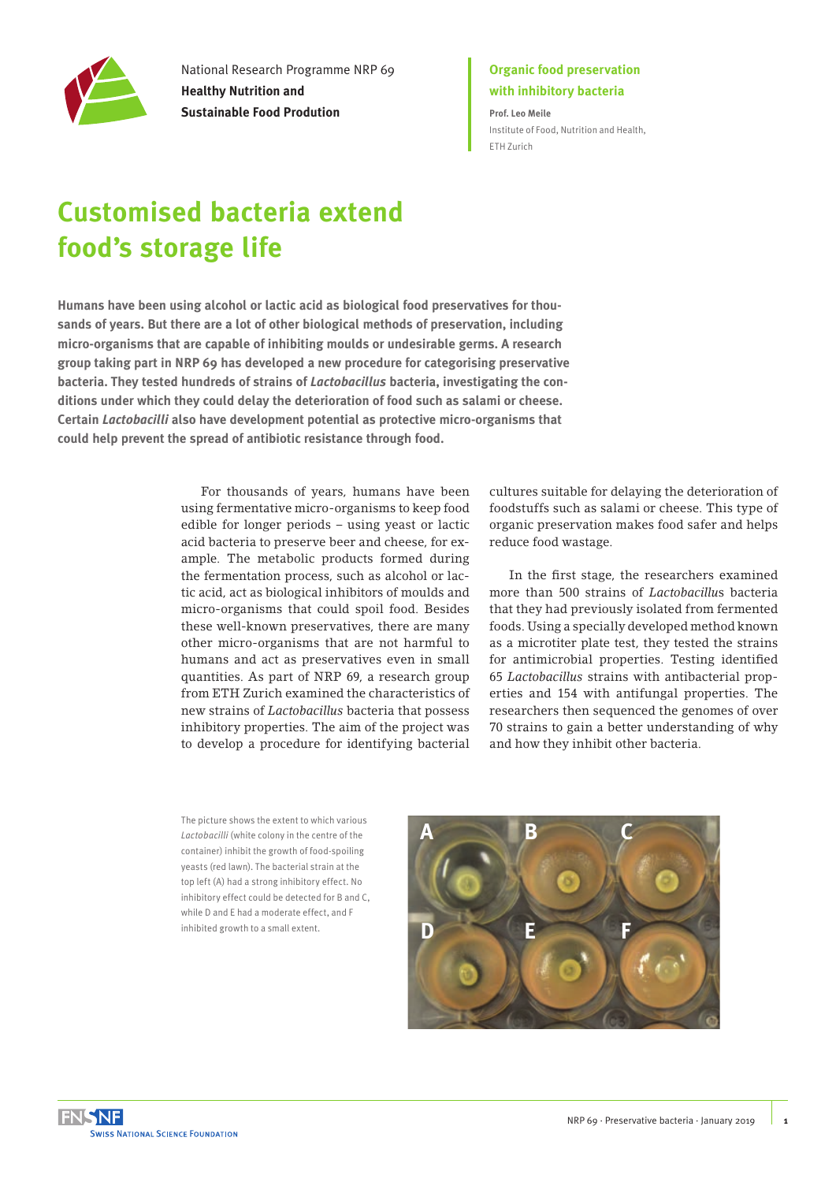

National Research Programme NRP 69 **Healthy Nutrition and Sustainable Food Prodution**

## **Organic food preservation with inhibitory bacteria**

**Prof. Leo Meile** [Institute of Food, Nutrition and Health,](http://www.ifnh.ethz.ch/)  [ETH Zurich](http://www.ifnh.ethz.ch/)

# **Customised bacteria extend food's storage life**

**Humans have been using alcohol or lactic acid as biological food preservatives for thousands of years. But there are a lot of other biological methods of preservation, including micro-organisms that are capable of inhibiting moulds or undesirable germs. A research group taking part in NRP 69 has developed a new procedure for categorising preservative bacteria. They tested hundreds of strains of** *Lactobacillus* **bacteria, investigating the conditions under which they could delay the deterioration of food such as salami or cheese. Certain** *Lactobacilli* **also have development potential as protective micro-organisms that could help prevent the spread of antibiotic resistance through food.** 

> For thousands of years, humans have been using fermentative micro-organisms to keep food edible for longer periods – using yeast or lactic acid bacteria to preserve beer and cheese, for example. The metabolic products formed during the fermentation process, such as alcohol or lactic acid, act as biological inhibitors of moulds and micro-organisms that could spoil food. Besides these well-known preservatives, there are many other micro-organisms that are not harmful to humans and act as preservatives even in small quantities. As part of NRP 69, a research group from ETH Zurich examined the characteristics of new strains of *Lactobacillus* bacteria that possess inhibitory properties. The aim of the project was to develop a procedure for identifying bacterial

cultures suitable for delaying the deterioration of foodstuffs such as salami or cheese. This type of organic preservation makes food safer and helps reduce food wastage.

In the first stage, the researchers examined more than 500 strains of *Lactobacillu*s bacteria that they had previously isolated from fermented foods. Using a specially developed method known as a microtiter plate test, they tested the strains for antimicrobial properties. Testing identified 65 *Lactobacillus* strains with antibacterial properties and 154 with antifungal properties. The researchers then sequenced the genomes of over 70 strains to gain a better understanding of why and how they inhibit other bacteria.

The picture shows the extent to which various *Lactobacilli* (white colony in the centre of the container) inhibit the growth of food-spoiling yeasts (red lawn). The bacterial strain at the top left (A) had a strong inhibitory effect. No inhibitory effect could be detected for B and C, while D and E had a moderate effect, and F inhibited growth to a small extent.